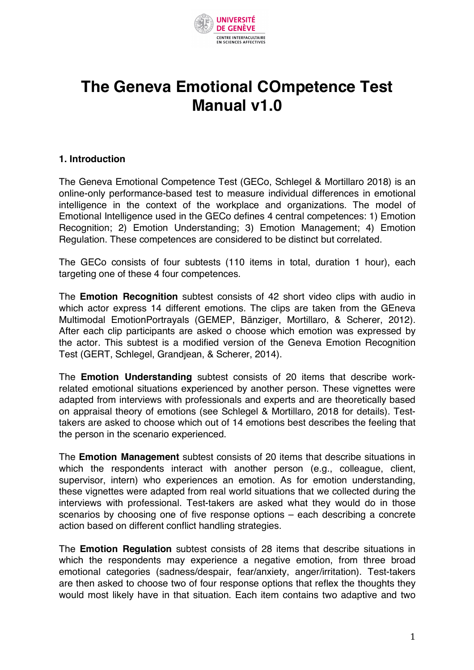

# **The Geneva Emotional COmpetence Test Manual v1.0**

## **1. Introduction**

The Geneva Emotional Competence Test (GECo, Schlegel & Mortillaro 2018) is an online-only performance-based test to measure individual differences in emotional intelligence in the context of the workplace and organizations. The model of Emotional Intelligence used in the GECo defines 4 central competences: 1) Emotion Recognition; 2) Emotion Understanding; 3) Emotion Management; 4) Emotion Regulation. These competences are considered to be distinct but correlated.

The GECo consists of four subtests (110 items in total, duration 1 hour), each targeting one of these 4 four competences.

The **Emotion Recognition** subtest consists of 42 short video clips with audio in which actor express 14 different emotions. The clips are taken from the GEneva Multimodal EmotionPortrayals (GEMEP, Bänziger, Mortillaro, & Scherer, 2012). After each clip participants are asked o choose which emotion was expressed by the actor. This subtest is a modified version of the Geneva Emotion Recognition Test (GERT, Schlegel, Grandjean, & Scherer, 2014).

The **Emotion Understanding** subtest consists of 20 items that describe workrelated emotional situations experienced by another person. These vignettes were adapted from interviews with professionals and experts and are theoretically based on appraisal theory of emotions (see Schlegel & Mortillaro, 2018 for details). Testtakers are asked to choose which out of 14 emotions best describes the feeling that the person in the scenario experienced.

The **Emotion Management** subtest consists of 20 items that describe situations in which the respondents interact with another person (e.g., colleague, client, supervisor, intern) who experiences an emotion. As for emotion understanding, these vignettes were adapted from real world situations that we collected during the interviews with professional. Test-takers are asked what they would do in those scenarios by choosing one of five response options – each describing a concrete action based on different conflict handling strategies.

The **Emotion Regulation** subtest consists of 28 items that describe situations in which the respondents may experience a negative emotion, from three broad emotional categories (sadness/despair, fear/anxiety, anger/irritation). Test-takers are then asked to choose two of four response options that reflex the thoughts they would most likely have in that situation. Each item contains two adaptive and two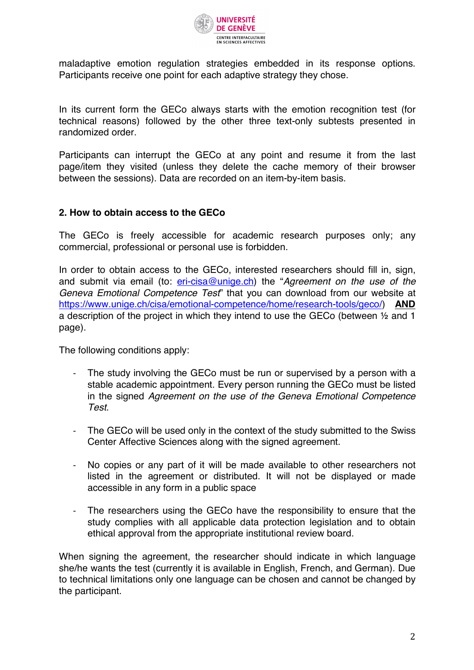

maladaptive emotion regulation strategies embedded in its response options. Participants receive one point for each adaptive strategy they chose.

In its current form the GECo always starts with the emotion recognition test (for technical reasons) followed by the other three text-only subtests presented in randomized order.

Participants can interrupt the GECo at any point and resume it from the last page/item they visited (unless they delete the cache memory of their browser between the sessions). Data are recorded on an item-by-item basis.

## **2. How to obtain access to the GECo**

The GECo is freely accessible for academic research purposes only; any commercial, professional or personal use is forbidden.

In order to obtain access to the GECo, interested researchers should fill in, sign, and submit via email (to: **eri-cisa@unige.ch**) the "Agreement on the use of the *Geneva Emotional Competence Test*" that you can download from our website at https://www.unige.ch/cisa/emotional-competence/home/research-tools/geco/) **AND** a description of the project in which they intend to use the GECo (between ½ and 1 page).

The following conditions apply:

- The study involving the GECo must be run or supervised by a person with a stable academic appointment. Every person running the GECo must be listed in the signed *Agreement on the use of the Geneva Emotional Competence Test*.
- The GECo will be used only in the context of the study submitted to the Swiss Center Affective Sciences along with the signed agreement.
- No copies or any part of it will be made available to other researchers not listed in the agreement or distributed. It will not be displayed or made accessible in any form in a public space
- The researchers using the GECo have the responsibility to ensure that the study complies with all applicable data protection legislation and to obtain ethical approval from the appropriate institutional review board.

When signing the agreement, the researcher should indicate in which language she/he wants the test (currently it is available in English, French, and German). Due to technical limitations only one language can be chosen and cannot be changed by the participant.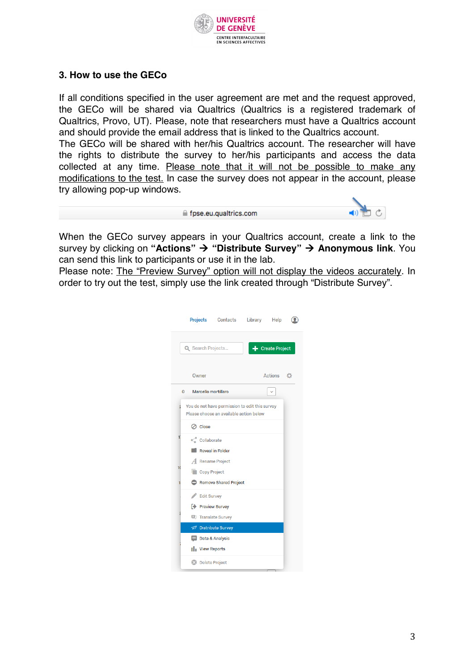

# **3. How to use the GECo**

If all conditions specified in the user agreement are met and the request approved, the GECo will be shared via Qualtrics (Qualtrics is a registered trademark of Qualtrics, Provo, UT). Please, note that researchers must have a Qualtrics account and should provide the email address that is linked to the Qualtrics account.

The GECo will be shared with her/his Qualtrics account. The researcher will have the rights to distribute the survey to her/his participants and access the data collected at any time. Please note that it will not be possible to make any modifications to the test. In case the survey does not appear in the account, please try allowing pop-up windows.

| fpse.eu.qualtrics.com ≙ |
|-------------------------|
|                         |



When the GECo survey appears in your Qualtrics account, create a link to the survey by clicking on "Actions" → "Distribute Survey" → Anonymous link. You can send this link to participants or use it in the lab.

Please note: The "Preview Survey" option will not display the videos accurately. In order to try out the test, simply use the link created through "Distribute Survey".

|    |                                  | <b>Projects Contacts</b>                                                                  | Library Help |                  |   |
|----|----------------------------------|-------------------------------------------------------------------------------------------|--------------|------------------|---|
|    | Q Search Projects                |                                                                                           |              | + Create Project |   |
|    | Owner                            |                                                                                           |              | Actions          | a |
|    | Marcello mortillaro<br>0         |                                                                                           |              |                  |   |
| ź  |                                  | You do not have permission to edit this survey<br>Please choose an available action below |              |                  |   |
|    | ⊘ Close                          |                                                                                           |              |                  |   |
| 1  | Collaborate                      |                                                                                           |              |                  |   |
|    |                                  | <b>Reveal in Folder</b>                                                                   |              |                  |   |
| 10 | A Rename Project<br>Copy Project |                                                                                           |              |                  |   |
| 1  |                                  | Remove Shared Project                                                                     |              |                  |   |
|    | Edit Survey                      |                                                                                           |              |                  |   |
|    | <b>E</b> Preview Survey          |                                                                                           |              |                  |   |
|    | <b>D</b> Translate Survey        |                                                                                           |              |                  |   |
|    | Distribute Survey                |                                                                                           |              |                  |   |
|    | Data & Analysis                  |                                                                                           |              |                  |   |
|    | <b>Ill</b> View Reports          |                                                                                           |              |                  |   |
|    | 2 Delete Project                 |                                                                                           |              |                  |   |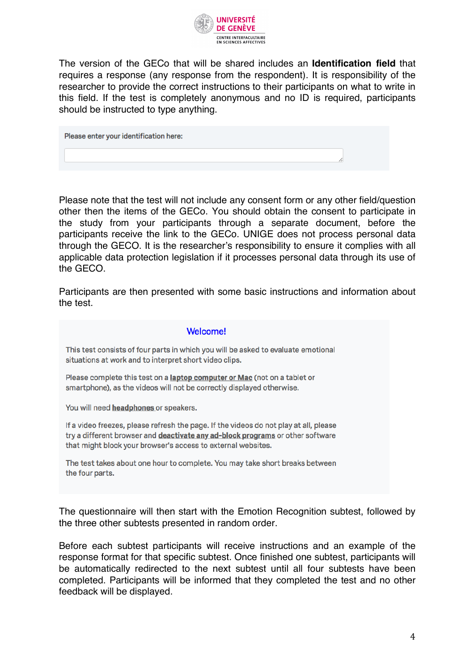

The version of the GECo that will be shared includes an **Identification field** that requires a response (any response from the respondent). It is responsibility of the researcher to provide the correct instructions to their participants on what to write in this field. If the test is completely anonymous and no ID is required, participants should be instructed to type anything.

Please enter your identification here:

Please note that the test will not include any consent form or any other field/question other then the items of the GECo. You should obtain the consent to participate in the study from your participants through a separate document, before the participants receive the link to the GECo. UNIGE does not process personal data through the GECO. It is the researcher's responsibility to ensure it complies with all applicable data protection legislation if it processes personal data through its use of the GECO.

Participants are then presented with some basic instructions and information about the test.

#### **Welcome!**

This test consists of four parts in which you will be asked to evaluate emotional situations at work and to interpret short video clips.

Please complete this test on a **laptop computer or Mac** (not on a tablet or smartphone), as the videos will not be correctly displayed otherwise.

You will need headphones or speakers.

If a video freezes, please refresh the page. If the videos do not play at all, please try a different browser and deactivate any ad-block programs or other software that might block your browser's access to external websites.

The test takes about one hour to complete. You may take short breaks between the four parts.

The questionnaire will then start with the Emotion Recognition subtest, followed by the three other subtests presented in random order.

Before each subtest participants will receive instructions and an example of the response format for that specific subtest. Once finished one subtest, participants will be automatically redirected to the next subtest until all four subtests have been completed. Participants will be informed that they completed the test and no other feedback will be displayed.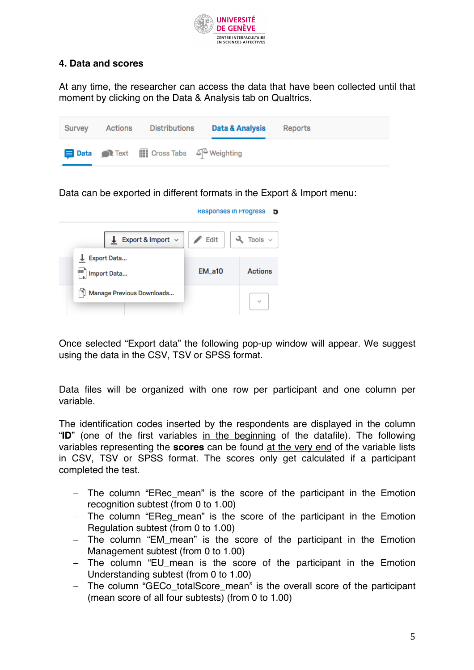

# **4. Data and scores**

At any time, the researcher can access the data that have been collected until that moment by clicking on the Data & Analysis tab on Qualtrics.

| Survey | Actions | Distributions                                                   | Data & Analysis | Reports |
|--------|---------|-----------------------------------------------------------------|-----------------|---------|
|        |         | <b>Data</b> Text <b>III</b> Cross Tabs 4 <sup>2</sup> Weighting |                 |         |

Data can be exported in different formats in the Export & Import menu:

|                                   | Responses in Progress    | Ð                      |
|-----------------------------------|--------------------------|------------------------|
| <b>L</b> Export & Import $\sim$   | $\triangle$ Edit $\vert$ | $\lambda$ Tools $\sim$ |
| <b>Export Data</b><br>Import Data | $EM_a10$                 | <b>Actions</b>         |
| Manage Previous Downloads         |                          |                        |

Once selected "Export data" the following pop-up window will appear. We suggest using the data in the CSV, TSV or SPSS format.

Data files will be organized with one row per participant and one column per variable.

The identification codes inserted by the respondents are displayed in the column "**ID**" (one of the first variables in the beginning of the datafile). The following variables representing the **scores** can be found at the very end of the variable lists in CSV, TSV or SPSS format. The scores only get calculated if a participant completed the test.

- The column "ERec mean" is the score of the participant in the Emotion recognition subtest (from 0 to 1.00)
- The column "EReg\_mean" is the score of the participant in the Emotion Regulation subtest (from 0 to 1.00)
- The column "EM mean" is the score of the participant in the Emotion Management subtest (from 0 to 1.00)
- The column "EU mean is the score of the participant in the Emotion Understanding subtest (from 0 to 1.00)
- The column "GECo\_totalScore\_mean" is the overall score of the participant (mean score of all four subtests) (from 0 to 1.00)